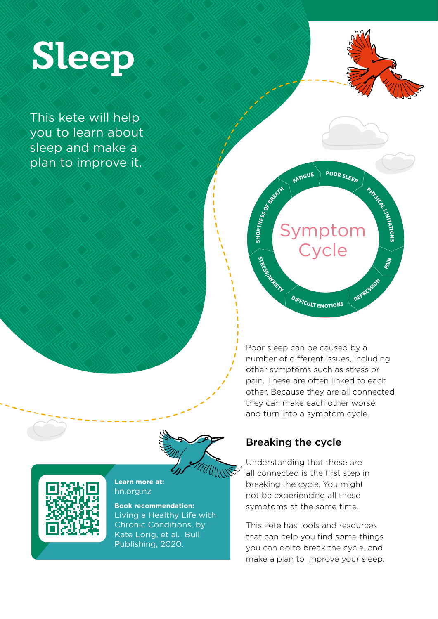

This kete will help you to learn about sleep and make a plan to improve it.



**PHYSICAL LIMITATIONS**

**PAIN**

**DEPRESS<sup>I</sup>O<sup>N</sup>**



# Symptom  $C$ **ycle R**<br>**REA**<br>**BR**<br>**B**<br> **B**<sub>R</sub> **STRESS/ANXIETY**

**<sup>D</sup>IFFICUL<sup>T</sup> <sup>E</sup>MOTION<sup>S</sup>**

Poor sleep can be caused by a number of different issues, including other symptoms such as stress or pain. These are often linked to each other. Because they are all connected they can make each other worse and turn into a symptom cycle.

### Breaking the cycle

Understanding that these are all connected is the first step in breaking the cycle. You might not be experiencing all these symptoms at the same time.

This kete has tools and resources that can help you find some things you can do to break the cycle, and make a plan to improve your sleep.



**Learn more at:** hn.org.nz

**Book recommendation:** Living a Healthy Life with Chronic Conditions, by Kate Lorig, et al. Bull Publishing, 2020.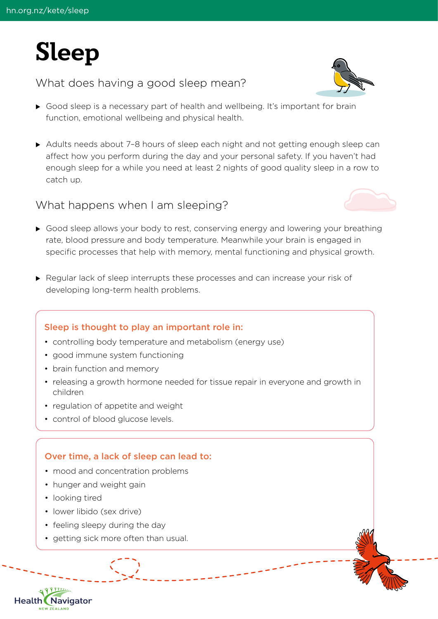

### What does having a good sleep mean?



- ▶ Good sleep is a necessary part of health and wellbeing. It's important for brain function, emotional wellbeing and physical health.
- $\triangleright$  Adults needs about 7-8 hours of sleep each night and not getting enough sleep can affect how you perform during the day and your personal safety. If you haven't had enough sleep for a while you need at least 2 nights of good quality sleep in a row to catch up.

#### What happens when I am sleeping?



- ▶ Good sleep allows your body to rest, conserving energy and lowering your breathing rate, blood pressure and body temperature. Meanwhile your brain is engaged in specific processes that help with memory, mental functioning and physical growth.
- $\blacktriangleright$  Regular lack of sleep interrupts these processes and can increase your risk of developing long-term health problems.

#### Sleep is thought to play an important role in:

- controlling body temperature and metabolism (energy use)
- good immune system functioning
- brain function and memory
- releasing a growth hormone needed for tissue repair in everyone and growth in children
- regulation of appetite and weight
- control of blood glucose levels.

#### Over time, a lack of sleep can lead to:

- mood and concentration problems
- hunger and weight gain
- looking tired

Navigator

**Health** 

- lower libido (sex drive)
- feeling sleepy during the day
- getting sick more often than usual.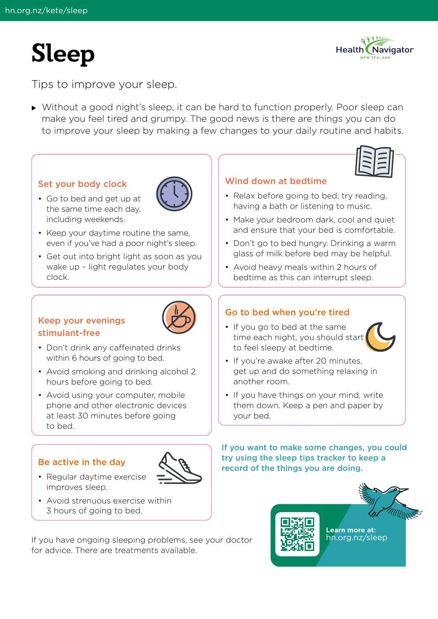# **Sleep**



Tips to improve your sleep.

▶ Without a good night's sleep, it can be hard to function properly. Poor sleep can make you feel tired and grumpy. The good news is there are things you can do to improve your sleep by making a few changes to your daily routine and habits.

#### Set your body clock

• Go to bed and get up at the same time each day, including weekends.



- Keep your daytime routine the same, even if you've had a poor night's sleep.
- Get out into bright light as soon as you wake up – light regulates your body clock.

#### Keep your evenings stimulant-free



- Don't drink any caffeinated drinks within 6 hours of going to bed.
- Avoid smoking and drinking alcohol 2 hours before going to bed.
- Avoid using your computer, mobile phone and other electronic devices at least 30 minutes before going to bed.

#### Be active in the day



- Regular daytime exercise improves sleep.
- Avoid strenuous exercise within 3 hours of going to bed.

If you have ongoing sleeping problems, see your doctor for advice. There are treatments available.



#### Wind down at bedtime

- Relax before going to bed; try reading, having a bath or listening to music.
- Make your bedroom dark, cool and quiet and ensure that your bed is comfortable.
- Don't go to bed hungry. Drinking a warm glass of milk before bed may be helpful.
- Avoid heavy meals within 2 hours of bedtime as this can interrupt sleep.

#### Go to bed when you're tired

• If you go to bed at the same time each night, you should start to feel sleepy at bedtime.



- If you're awake after 20 minutes, get up and do something relaxing in another room.
- If you have things on your mind, write them down. Keep a pen and paper by your bed.

If you want to make some changes, you could try using the sleep tips tracker to keep a record of the things you are doing.

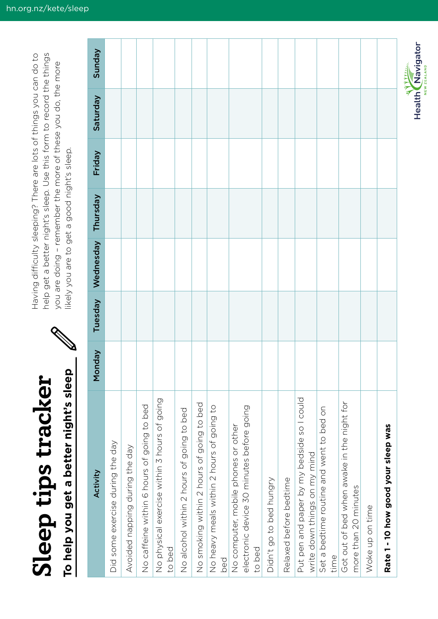Sleep tips tracker **Sleep tips tracker**

To help you get a better night's sleep **To help you get a better night's sleep**

Having difficulty sleeping? There are lots of things you can do to help get a better night's sleep. Use this form to record the things help get a better night's sleep. Use this form to record the things Having difficulty sleeping? There are lots of things you can do to you are doing - remember the more of these you do, the more you are doing – remember the more of these you do, the more likely you are to get a good night's sleep. likely you are to get a good night's sleep.

| Activity                                                                                   | <b>Monday</b> | Tuesday | Wednesday | Thursday | Friday | Saturday | Sunday |
|--------------------------------------------------------------------------------------------|---------------|---------|-----------|----------|--------|----------|--------|
| Did some exercise during the day                                                           |               |         |           |          |        |          |        |
| Avoided napping during the day                                                             |               |         |           |          |        |          |        |
| No caffeine within 6 hours of going to bed                                                 |               |         |           |          |        |          |        |
| No physical exercise within 3 hours of going<br>to bed                                     |               |         |           |          |        |          |        |
| No alcohol within 2 hours of going to bed                                                  |               |         |           |          |        |          |        |
| No smoking within 2 hours of going to bed                                                  |               |         |           |          |        |          |        |
| No heavy meals within 2 hours of going to<br>bed                                           |               |         |           |          |        |          |        |
| electronic device 30 minutes before going<br>No computer, mobile phones or other<br>to bed |               |         |           |          |        |          |        |
| Didn't go to bed hungry                                                                    |               |         |           |          |        |          |        |
| Relaxed before bedtime                                                                     |               |         |           |          |        |          |        |
| Put pen and paper by my bedside so I could<br>write down things on my mind                 |               |         |           |          |        |          |        |
| Set a bedtime routine and went to bed on<br>time                                           |               |         |           |          |        |          |        |
| Got out of bed when awake in the night for<br>more than 20 minutes                         |               |         |           |          |        |          |        |
| Woke up on time                                                                            |               |         |           |          |        |          |        |
| Rate 1 - 10 how good your sleep was                                                        |               |         |           |          |        |          |        |

**Health Navigator** 

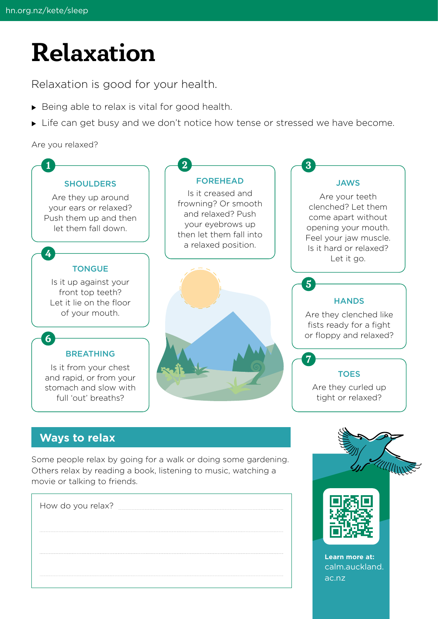# **Relaxation**

Relaxation is good for your health.

- $\triangleright$  Being able to relax is vital for good health.
- If Life can get busy and we don't notice how tense or stressed we have become.

Are you relaxed?



### **Ways to relax**

Some people relax by going for a walk or doing some gardening. Others relax by reading a book, listening to music, watching a movie or talking to friends.

| How do you relax? |  |
|-------------------|--|
|                   |  |
|                   |  |
|                   |  |



calm.auckland.

ac.nz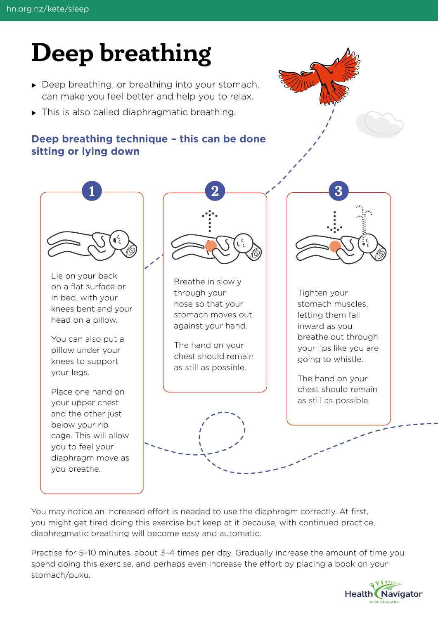# **Deep breathing**

- $\triangleright$  Deep breathing, or breathing into your stomach, can make you feel better and help you to relax.
- $\triangleright$  This is also called diaphragmatic breathing.

## **Deep breathing technique – this can be done sitting or lying down**





You may notice an increased effort is needed to use the diaphragm correctly. At first, you might get tired doing this exercise but keep at it because, with continued practice, diaphragmatic breathing will become easy and automatic.

Practise for 5–10 minutes, about 3–4 times per day. Gradually increase the amount of time you spend doing this exercise, and perhaps even increase the effort by placing a book on your stomach/puku.

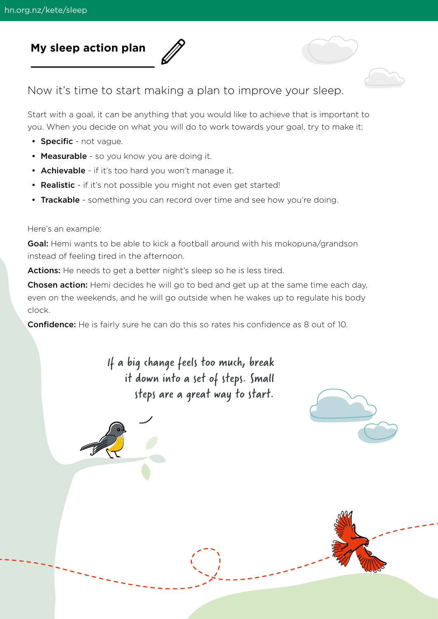## **My sleep action plan**

Now it's time to start making a plan to improve your sleep.

Start with a goal, it can be anything that you would like to achieve that is important to you. When you decide on what you will do to work towards your goal, try to make it:

- Specific not vague.
- Measurable so you know you are doing it.
- Achievable if it's too hard you won't manage it.
- Realistic if it's not possible you might not even get started!
- Trackable something you can record over time and see how you're doing.

#### Here's an example:

Goal: Hemi wants to be able to kick a football around with his mokopuna/grandson instead of feeling tired in the afternoon.

Actions: He needs to get a better night's sleep so he is less tired.

Chosen action: Hemi decides he will go to bed and get up at the same time each day, even on the weekends, and he will go outside when he wakes up to regulate his body clock.

**Confidence:** He is fairly sure he can do this so rates his confidence as 8 out of 10.

If a big change feels too much, break it down into a set of steps. Small steps are a great way to start.